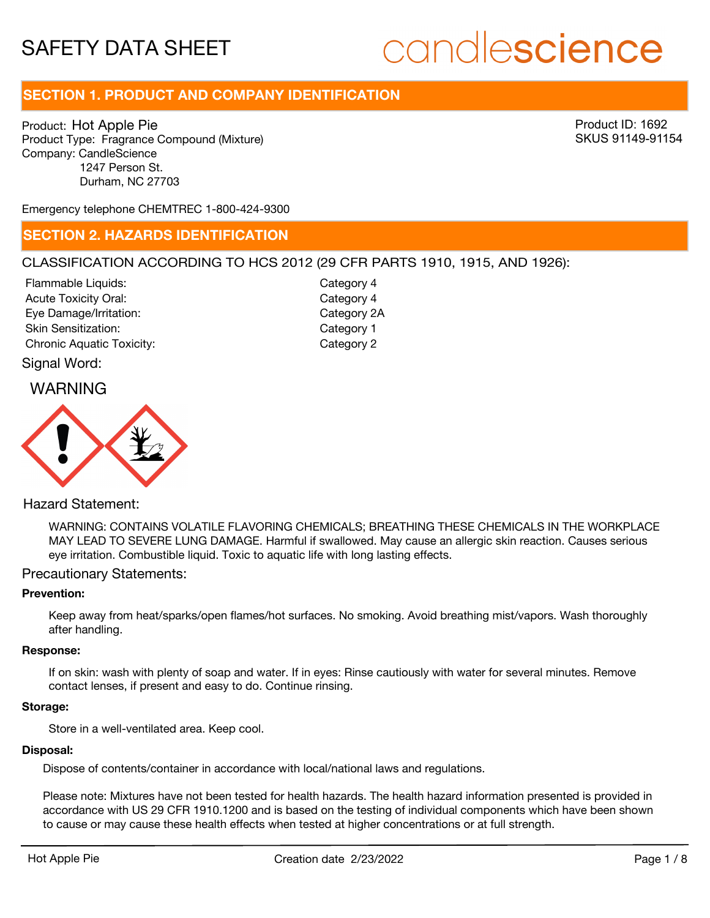# candlescience

## **SECTION 1. PRODUCT AND COMPANY IDENTIFICATION**

Product: Hot Apple Pie Product Type: Fragrance Compound (Mixture) Company: CandleScience 1247 Person St. Durham, NC 27703

Product ID: 1692 SKUS 91149-91154

Emergency telephone CHEMTREC 1-800-424-9300

### **SECTION 2. HAZARDS IDENTIFICATION**

### CLASSIFICATION ACCORDING TO HCS 2012 (29 CFR PARTS 1910, 1915, AND 1926):

Signal Word: Acute Toxicity Oral: Eye Damage/Irritation: Skin Sensitization: Chronic Aquatic Toxicity: Chronic Aquatic Toxicity: Flammable Liquids:

Category 4 Category 2A Category 1 Category 4

## WARNING



### Hazard Statement:

WARNING: CONTAINS VOLATILE FLAVORING CHEMICALS; BREATHING THESE CHEMICALS IN THE WORKPLACE MAY LEAD TO SEVERE LUNG DAMAGE. Harmful if swallowed. May cause an allergic skin reaction. Causes serious eye irritation. Combustible liquid. Toxic to aquatic life with long lasting effects.

### Precautionary Statements:

### **Prevention:**

Keep away from heat/sparks/open flames/hot surfaces. No smoking. Avoid breathing mist/vapors. Wash thoroughly after handling.

### **Response:**

If on skin: wash with plenty of soap and water. If in eyes: Rinse cautiously with water for several minutes. Remove contact lenses, if present and easy to do. Continue rinsing.

### **Storage:**

Store in a well-ventilated area. Keep cool.

#### **Disposal:**

Dispose of contents/container in accordance with local/national laws and regulations.

Please note: Mixtures have not been tested for health hazards. The health hazard information presented is provided in accordance with US 29 CFR 1910.1200 and is based on the testing of individual components which have been shown to cause or may cause these health effects when tested at higher concentrations or at full strength.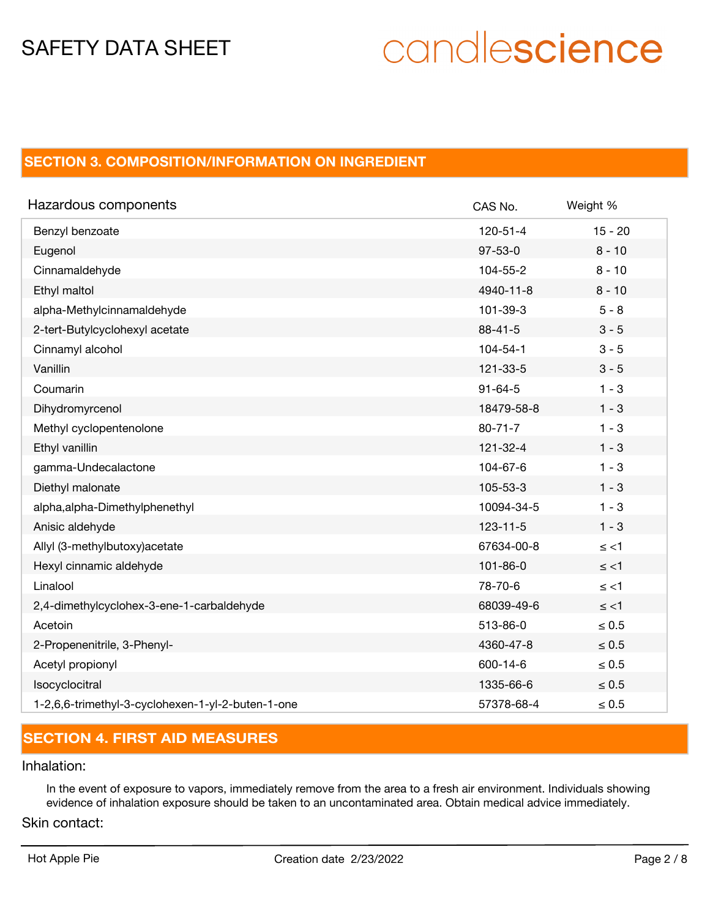# candlescience

# **SECTION 3. COMPOSITION/INFORMATION ON INGREDIENT**

| Hazardous components                              | CAS No.        | Weight %   |
|---------------------------------------------------|----------------|------------|
| Benzyl benzoate                                   | $120 - 51 - 4$ | $15 - 20$  |
| Eugenol                                           | $97 - 53 - 0$  | $8 - 10$   |
| Cinnamaldehyde                                    | 104-55-2       | $8 - 10$   |
| Ethyl maltol                                      | 4940-11-8      | $8 - 10$   |
| alpha-Methylcinnamaldehyde                        | 101-39-3       | $5 - 8$    |
| 2-tert-Butylcyclohexyl acetate                    | $88 - 41 - 5$  | $3 - 5$    |
| Cinnamyl alcohol                                  | $104 - 54 - 1$ | $3 - 5$    |
| Vanillin                                          | 121-33-5       | $3 - 5$    |
| Coumarin                                          | $91 - 64 - 5$  | $1 - 3$    |
| Dihydromyrcenol                                   | 18479-58-8     | $1 - 3$    |
| Methyl cyclopentenolone                           | $80 - 71 - 7$  | $1 - 3$    |
| Ethyl vanillin                                    | $121 - 32 - 4$ | $1 - 3$    |
| gamma-Undecalactone                               | 104-67-6       | $1 - 3$    |
| Diethyl malonate                                  | 105-53-3       | $1 - 3$    |
| alpha, alpha-Dimethylphenethyl                    | 10094-34-5     | $1 - 3$    |
| Anisic aldehyde                                   | $123 - 11 - 5$ | $1 - 3$    |
| Allyl (3-methylbutoxy) acetate                    | 67634-00-8     | $\le$ <1   |
| Hexyl cinnamic aldehyde                           | $101 - 86 - 0$ | $\le$ <1   |
| Linalool                                          | 78-70-6        | $\le$ <1   |
| 2,4-dimethylcyclohex-3-ene-1-carbaldehyde         | 68039-49-6     | $\le$ <1   |
| Acetoin                                           | 513-86-0       | $\leq 0.5$ |
| 2-Propenenitrile, 3-Phenyl-                       | 4360-47-8      | $\leq 0.5$ |
| Acetyl propionyl                                  | 600-14-6       | $\leq 0.5$ |
| Isocyclocitral                                    | 1335-66-6      | $\leq 0.5$ |
| 1-2,6,6-trimethyl-3-cyclohexen-1-yl-2-buten-1-one | 57378-68-4     | $\leq 0.5$ |

# **SECTION 4. FIRST AID MEASURES**

### Inhalation:

In the event of exposure to vapors, immediately remove from the area to a fresh air environment. Individuals showing evidence of inhalation exposure should be taken to an uncontaminated area. Obtain medical advice immediately.

### Skin contact: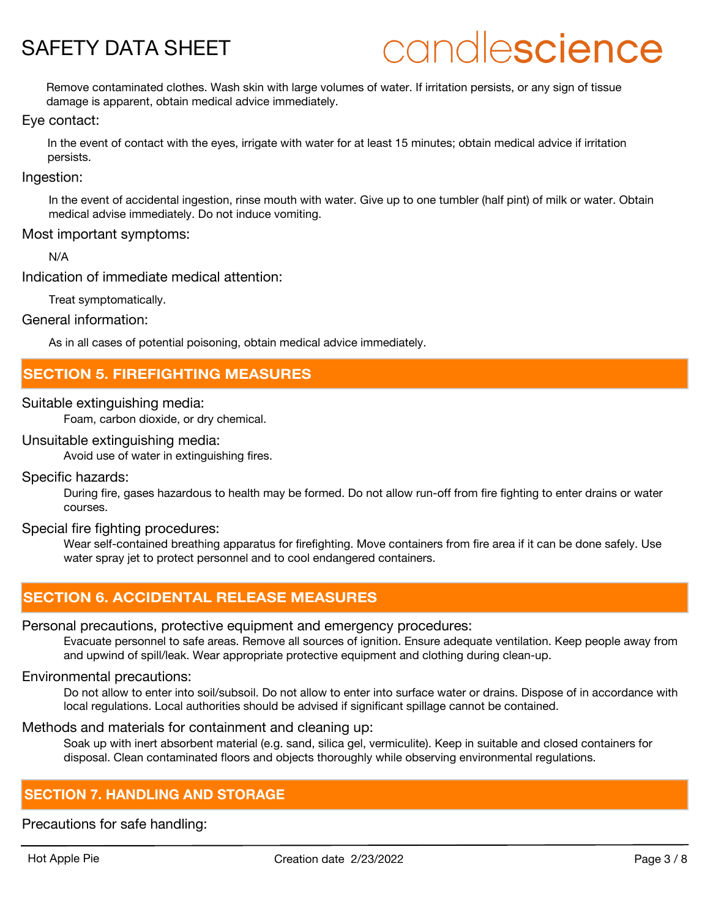# candlescience

Remove contaminated clothes. Wash skin with large volumes of water. If irritation persists, or any sign of tissue damage is apparent, obtain medical advice immediately.

### Eye contact:

In the event of contact with the eyes, irrigate with water for at least 15 minutes; obtain medical advice if irritation persists.

### Ingestion:

In the event of accidental ingestion, rinse mouth with water. Give up to one tumbler (half pint) of milk or water. Obtain medical advise immediately. Do not induce vomiting.

### Most important symptoms:

N/A

Indication of immediate medical attention:

Treat symptomatically.

General information:

As in all cases of potential poisoning, obtain medical advice immediately.

## **SECTION 5. FIREFIGHTING MEASURES**

### Suitable extinguishing media:

Foam, carbon dioxide, or dry chemical.

### Unsuitable extinguishing media:

Avoid use of water in extinguishing fires.

### Specific hazards:

During fire, gases hazardous to health may be formed. Do not allow run-off from fire fighting to enter drains or water courses.

### Special fire fighting procedures:

Wear self-contained breathing apparatus for firefighting. Move containers from fire area if it can be done safely. Use water spray jet to protect personnel and to cool endangered containers.

## **SECTION 6. ACCIDENTAL RELEASE MEASURES**

### Personal precautions, protective equipment and emergency procedures:

Evacuate personnel to safe areas. Remove all sources of ignition. Ensure adequate ventilation. Keep people away from and upwind of spill/leak. Wear appropriate protective equipment and clothing during clean-up.

### Environmental precautions:

Do not allow to enter into soil/subsoil. Do not allow to enter into surface water or drains. Dispose of in accordance with local regulations. Local authorities should be advised if significant spillage cannot be contained.

### Methods and materials for containment and cleaning up:

Soak up with inert absorbent material (e.g. sand, silica gel, vermiculite). Keep in suitable and closed containers for disposal. Clean contaminated floors and objects thoroughly while observing environmental regulations.

## **SECTION 7. HANDLING AND STORAGE**

Precautions for safe handling: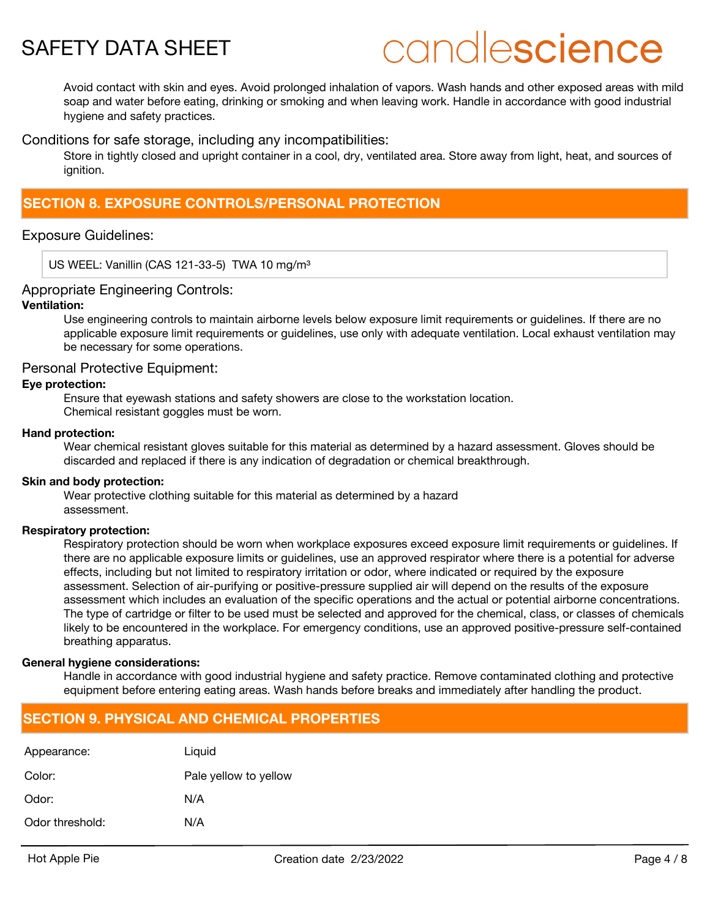

# candlescience

Avoid contact with skin and eyes. Avoid prolonged inhalation of vapors. Wash hands and other exposed areas with mild soap and water before eating, drinking or smoking and when leaving work. Handle in accordance with good industrial hygiene and safety practices.

Conditions for safe storage, including any incompatibilities:

Store in tightly closed and upright container in a cool, dry, ventilated area. Store away from light, heat, and sources of ianition.

## **SECTION 8. EXPOSURE CONTROLS/PERSONAL PROTECTION**

### Exposure Guidelines:

US WEEL: Vanillin (CAS 121-33-5) TWA 10 mg/m<sup>3</sup>

### Appropriate Engineering Controls:

### **Ventilation:**

Use engineering controls to maintain airborne levels below exposure limit requirements or guidelines. If there are no applicable exposure limit requirements or guidelines, use only with adequate ventilation. Local exhaust ventilation may be necessary for some operations.

### Personal Protective Equipment:

### **Eye protection:**

Ensure that eyewash stations and safety showers are close to the workstation location. Chemical resistant goggles must be worn.

### **Hand protection:**

Wear chemical resistant gloves suitable for this material as determined by a hazard assessment. Gloves should be discarded and replaced if there is any indication of degradation or chemical breakthrough.

### **Skin and body protection:**

Wear protective clothing suitable for this material as determined by a hazard assessment.

### **Respiratory protection:**

Respiratory protection should be worn when workplace exposures exceed exposure limit requirements or guidelines. If there are no applicable exposure limits or guidelines, use an approved respirator where there is a potential for adverse effects, including but not limited to respiratory irritation or odor, where indicated or required by the exposure assessment. Selection of air-purifying or positive-pressure supplied air will depend on the results of the exposure assessment which includes an evaluation of the specific operations and the actual or potential airborne concentrations. The type of cartridge or filter to be used must be selected and approved for the chemical, class, or classes of chemicals likely to be encountered in the workplace. For emergency conditions, use an approved positive-pressure self-contained breathing apparatus.

### **General hygiene considerations:**

Handle in accordance with good industrial hygiene and safety practice. Remove contaminated clothing and protective equipment before entering eating areas. Wash hands before breaks and immediately after handling the product.

## **SECTION 9. PHYSICAL AND CHEMICAL PROPERTIES**

| Appearance:     | Liguid                |
|-----------------|-----------------------|
| Color:          | Pale yellow to yellow |
| Odor:           | N/A                   |
| Odor threshold: | N/A                   |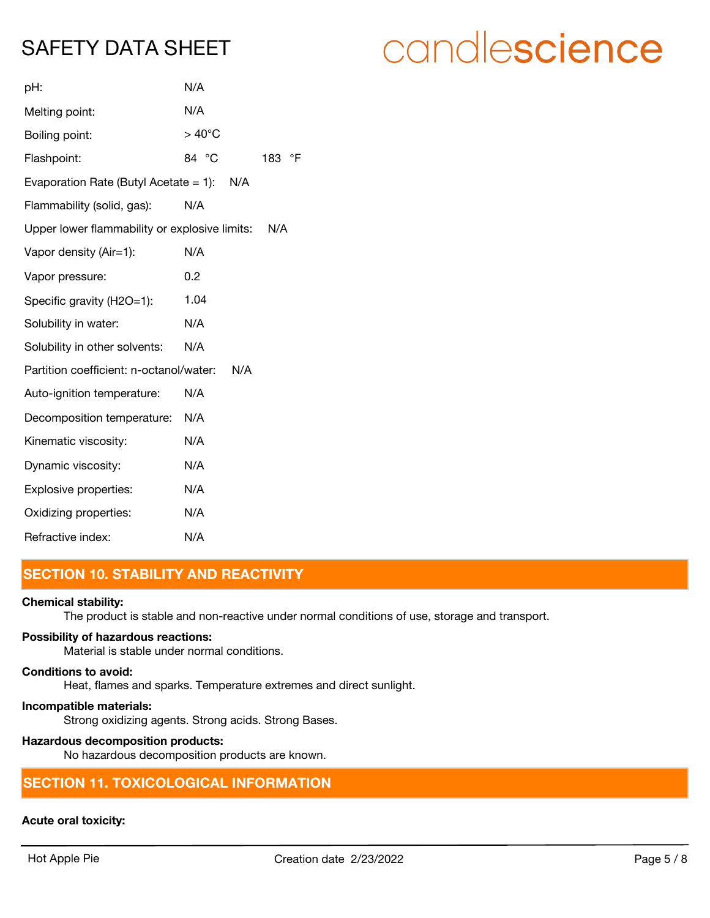| pH:                                             | N/A             |     |
|-------------------------------------------------|-----------------|-----|
| Melting point:                                  | N/A             |     |
| Boiling point:                                  | $>40^{\circ}$ C |     |
| Flashpoint:                                     | 84 °C           | 183 |
| Evaporation Rate (Butyl Acetate $= 1$ ):<br>N/A |                 |     |
| Flammability (solid, gas):                      | N/A             |     |
| Upper lower flammability or explosive limits:   |                 | N/A |
| Vapor density (Air=1):                          | N/A             |     |
| Vapor pressure:                                 | 0.2             |     |
| Specific gravity (H2O=1):                       | 1.04            |     |
| Solubility in water:                            | N/A             |     |
| Solubility in other solvents:                   | N/A             |     |
| Partition coefficient: n-octanol/water:<br>N/A  |                 |     |
| Auto-ignition temperature:                      | N/A             |     |
| Decomposition temperature:                      | N/A             |     |
| Kinematic viscosity:                            | N/A             |     |
| Dynamic viscosity:                              | N/A             |     |
| Explosive properties:                           | N/A             |     |
| Oxidizing properties:                           | N/A             |     |
| Refractive index:                               | N/A             |     |

# **SECTION 10. STABILITY AND REACTIVITY**

### **Chemical stability:**

The product is stable and non-reactive under normal conditions of use, storage and transport.

 $\circ$ F

### **Possibility of hazardous reactions:**

Material is stable under normal conditions.

### **Conditions to avoid:**

Heat, flames and sparks. Temperature extremes and direct sunlight.

**Incompatible materials:** Strong oxidizing agents. Strong acids. Strong Bases.

### **Hazardous decomposition products:**

No hazardous decomposition products are known.

## **SECTION 11. TOXICOLOGICAL INFORMATION**

### **Acute oral toxicity:**

# candlescience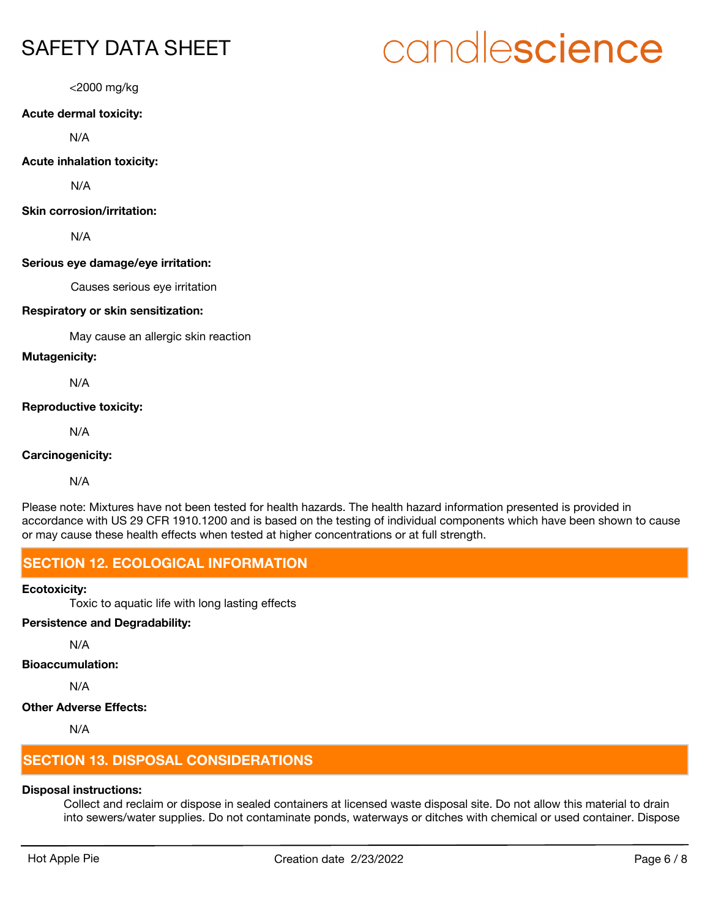# candlescience

<2000 mg/kg

### **Acute dermal toxicity:**

N/A

### **Acute inhalation toxicity:**

N/A

### **Skin corrosion/irritation:**

N/A

### **Serious eye damage/eye irritation:**

Causes serious eye irritation

### **Respiratory or skin sensitization:**

May cause an allergic skin reaction

### **Mutagenicity:**

N/A

### **Reproductive toxicity:**

N/A

### **Carcinogenicity:**

N/A

Please note: Mixtures have not been tested for health hazards. The health hazard information presented is provided in accordance with US 29 CFR 1910.1200 and is based on the testing of individual components which have been shown to cause or may cause these health effects when tested at higher concentrations or at full strength.

## **SECTION 12. ECOLOGICAL INFORMATION**

### **Ecotoxicity:**

Toxic to aquatic life with long lasting effects

### **Persistence and Degradability:**

N/A

### **Bioaccumulation:**

N/A

### **Other Adverse Effects:**

N/A

# **SECTION 13. DISPOSAL CONSIDERATIONS**

### **Disposal instructions:**

Collect and reclaim or dispose in sealed containers at licensed waste disposal site. Do not allow this material to drain into sewers/water supplies. Do not contaminate ponds, waterways or ditches with chemical or used container. Dispose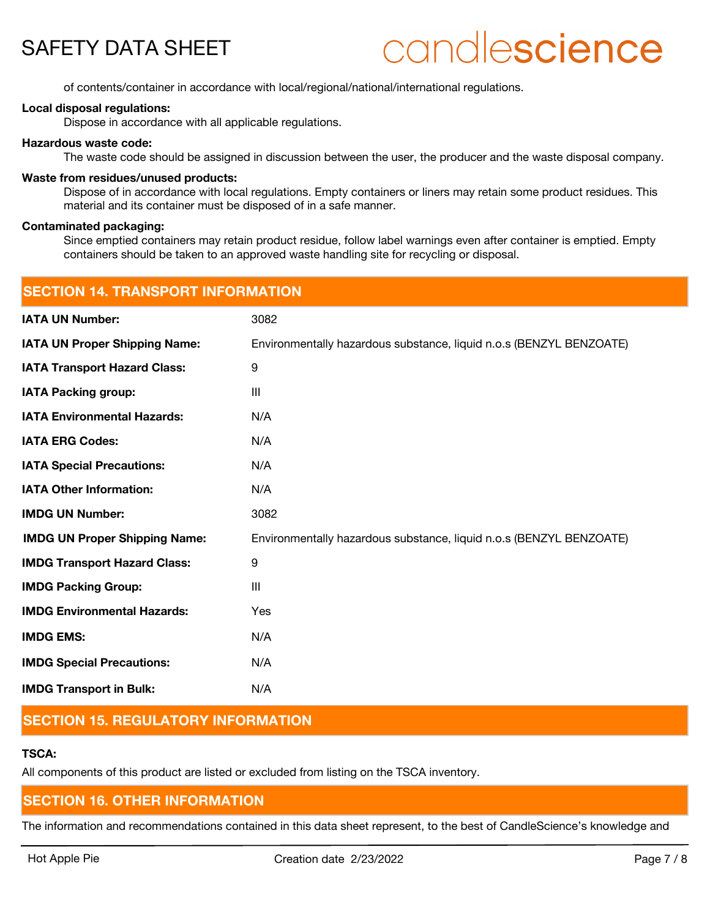# candlescience

of contents/container in accordance with local/regional/national/international regulations.

### **Local disposal regulations:**

Dispose in accordance with all applicable regulations.

### **Hazardous waste code:**

The waste code should be assigned in discussion between the user, the producer and the waste disposal company.

### **Waste from residues/unused products:**

Dispose of in accordance with local regulations. Empty containers or liners may retain some product residues. This material and its container must be disposed of in a safe manner.

#### **Contaminated packaging:**

Since emptied containers may retain product residue, follow label warnings even after container is emptied. Empty containers should be taken to an approved waste handling site for recycling or disposal.

| <b>SECTION 14. TRANSPORT INFORMATION</b> |                                                                     |  |
|------------------------------------------|---------------------------------------------------------------------|--|
| <b>IATA UN Number:</b>                   | 3082                                                                |  |
| <b>IATA UN Proper Shipping Name:</b>     | Environmentally hazardous substance, liquid n.o.s (BENZYL BENZOATE) |  |
| <b>IATA Transport Hazard Class:</b>      | 9                                                                   |  |
| <b>IATA Packing group:</b>               | Ш                                                                   |  |
| <b>IATA Environmental Hazards:</b>       | N/A                                                                 |  |
| <b>IATA ERG Codes:</b>                   | N/A                                                                 |  |
| <b>IATA Special Precautions:</b>         | N/A                                                                 |  |
| <b>IATA Other Information:</b>           | N/A                                                                 |  |
| <b>IMDG UN Number:</b>                   | 3082                                                                |  |
| <b>IMDG UN Proper Shipping Name:</b>     | Environmentally hazardous substance, liquid n.o.s (BENZYL BENZOATE) |  |
| <b>IMDG Transport Hazard Class:</b>      | 9                                                                   |  |
| <b>IMDG Packing Group:</b>               | III                                                                 |  |
| <b>IMDG Environmental Hazards:</b>       | Yes                                                                 |  |
| <b>IMDG EMS:</b>                         | N/A                                                                 |  |
| <b>IMDG Special Precautions:</b>         | N/A                                                                 |  |
| <b>IMDG Transport in Bulk:</b>           | N/A                                                                 |  |
|                                          |                                                                     |  |

### **SECTION 15. REGULATORY INFORMATION**

### **TSCA:**

All components of this product are listed or excluded from listing on the TSCA inventory.

### **SECTION 16. OTHER INFORMATION**

The information and recommendations contained in this data sheet represent, to the best of CandleScience's knowledge and